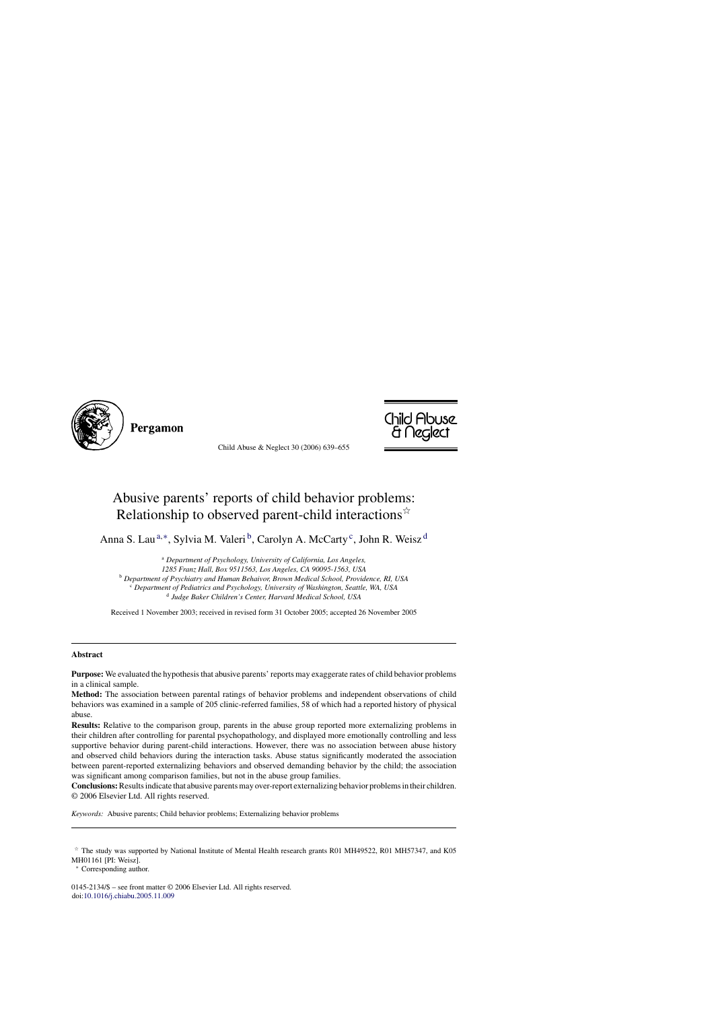

Pergamon

Child Abuse<br>& Neglect

Child Abuse & Neglect 30 (2006) 639–655

# Abusive parents' reports of child behavior problems: Relationship to observed parent-child interactions  $\hat{x}$

Anna S. Lau<sup>a,∗</sup>, Sylvia M. Valeri<sup>b</sup>, Carolyn A. McCarty<sup>c</sup>, John R. Weisz<sup>d</sup>

<sup>a</sup> *Department of Psychology, University of California, Los Angeles, 1285 Franz Hall, Box 9511563, Los Angeles, CA 90095-1563, USA* <sup>b</sup> *Department of Psychiatry and Human Behaivor, Brown Medical School, Providence, RI, USA* <sup>c</sup> *Department of Pediatrics and Psychology, University of Washington, Seattle, WA, USA* <sup>d</sup> *Judge Baker Children's Center, Harvard Medical School, USA*

Received 1 November 2003; received in revised form 31 October 2005; accepted 26 November 2005

## **Abstract**

**Purpose:** We evaluated the hypothesis that abusive parents' reports may exaggerate rates of child behavior problems in a clinical sample.

**Method:** The association between parental ratings of behavior problems and independent observations of child behaviors was examined in a sample of 205 clinic-referred families, 58 of which had a reported history of physical abuse.

**Results:** Relative to the comparison group, parents in the abuse group reported more externalizing problems in their children after controlling for parental psychopathology, and displayed more emotionally controlling and less supportive behavior during parent-child interactions. However, there was no association between abuse history and observed child behaviors during the interaction tasks. Abuse status significantly moderated the association between parent-reported externalizing behaviors and observed demanding behavior by the child; the association was significant among comparison families, but not in the abuse group families.

**Conclusions:**Results indicate that abusive parents may over-report externalizing behavior problems in their children. © 2006 Elsevier Ltd. All rights reserved.

*Keywords:* Abusive parents; Child behavior problems; Externalizing behavior problems

 $*$  The study was supported by National Institute of Mental Health research grants R01 MH49522, R01 MH57347, and K05 MH01161 [PI: Weisz].

Corresponding author.

0145-2134/\$ – see front matter © 2006 Elsevier Ltd. All rights reserved. doi:[10.1016/j.chiabu.2005.11.009](dx.doi.org/10.1016/j.chiabu.2005.11.009)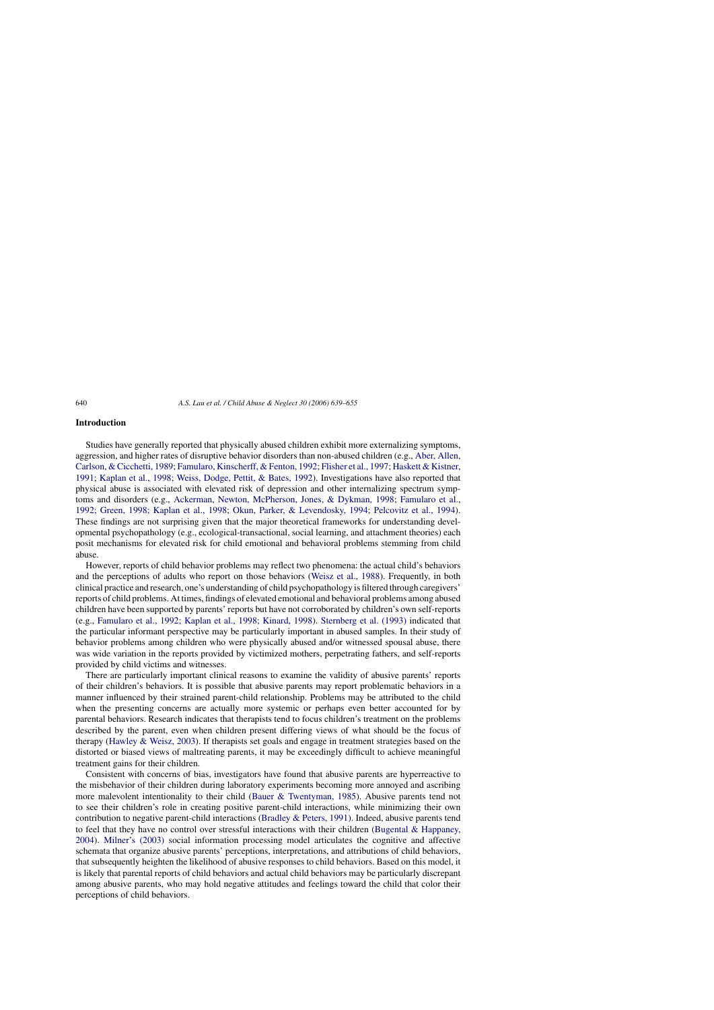## **Introduction**

Studies have generally reported that physically abused children exhibit more externalizing symptoms, aggression, and higher rates of disruptive behavior disorders than non-abused children (e.g., [Aber, Allen,](#page-13-0) [Carlson, & Cicchetti, 1989;](#page-13-0) [Famularo, Kinscherff, & Fenton, 1992;](#page-14-0) [Flisher et al., 1997;](#page-14-0) [Haskett & Kistner,](#page-14-0) [1991;](#page-14-0) [Kaplan et al., 1998;](#page-14-0) [Weiss, Dodge, Pettit, & Bates, 1992\).](#page-15-0) Investigations have also reported that physical abuse is associated with elevated risk of depression and other internalizing spectrum symptoms and disorders (e.g., [Ackerman, Newton, McPherson, Jones, & Dykman, 1998;](#page-13-0) [Famularo et al.,](#page-14-0) [1992; Green, 1998; Kaplan et al., 1998;](#page-14-0) [Okun, Parker, & Levendosky, 1994;](#page-15-0) [Pelcovitz et al., 1994\).](#page-15-0) These findings are not surprising given that the major theoretical frameworks for understanding developmental psychopathology (e.g., ecological-transactional, social learning, and attachment theories) each posit mechanisms for elevated risk for child emotional and behavioral problems stemming from child abuse.

However, reports of child behavior problems may reflect two phenomena: the actual child's behaviors and the perceptions of adults who report on those behaviors [\(Weisz et al., 1988\).](#page-15-0) Frequently, in both clinical practice and research, one's understanding of child psychopathology is filtered through caregivers' reports of child problems. At times, findings of elevated emotional and behavioral problems among abused children have been supported by parents' reports but have not corroborated by children's own self-reports (e.g., [Famularo et al., 1992; Kaplan et al., 1998; Kinard, 1998\).](#page-14-0) [Sternberg et al. \(1993\)](#page-15-0) indicated that the particular informant perspective may be particularly important in abused samples. In their study of behavior problems among children who were physically abused and/or witnessed spousal abuse, there was wide variation in the reports provided by victimized mothers, perpetrating fathers, and self-reports provided by child victims and witnesses.

There are particularly important clinical reasons to examine the validity of abusive parents' reports of their children's behaviors. It is possible that abusive parents may report problematic behaviors in a manner influenced by their strained parent-child relationship. Problems may be attributed to the child when the presenting concerns are actually more systemic or perhaps even better accounted for by parental behaviors. Research indicates that therapists tend to focus children's treatment on the problems described by the parent, even when children present differing views of what should be the focus of therapy [\(Hawley & Weisz, 2003\).](#page-14-0) If therapists set goals and engage in treatment strategies based on the distorted or biased views of maltreating parents, it may be exceedingly difficult to achieve meaningful treatment gains for their children.

Consistent with concerns of bias, investigators have found that abusive parents are hyperreactive to the misbehavior of their children during laboratory experiments becoming more annoyed and ascribing more malevolent intentionality to their child [\(Bauer & Twentyman, 1985\).](#page-13-0) Abusive parents tend not to see their children's role in creating positive parent-child interactions, while minimizing their own contribution to negative parent-child interactions [\(Bradley & Peters, 1991\).](#page-13-0) Indeed, abusive parents tend to feel that they have no control over stressful interactions with their children [\(Bugental & Happaney,](#page-13-0) [2004\).](#page-13-0) [Milner's \(2003\)](#page-15-0) social information processing model articulates the cognitive and affective schemata that organize abusive parents' perceptions, interpretations, and attributions of child behaviors, that subsequently heighten the likelihood of abusive responses to child behaviors. Based on this model, it is likely that parental reports of child behaviors and actual child behaviors may be particularly discrepant among abusive parents, who may hold negative attitudes and feelings toward the child that color their perceptions of child behaviors.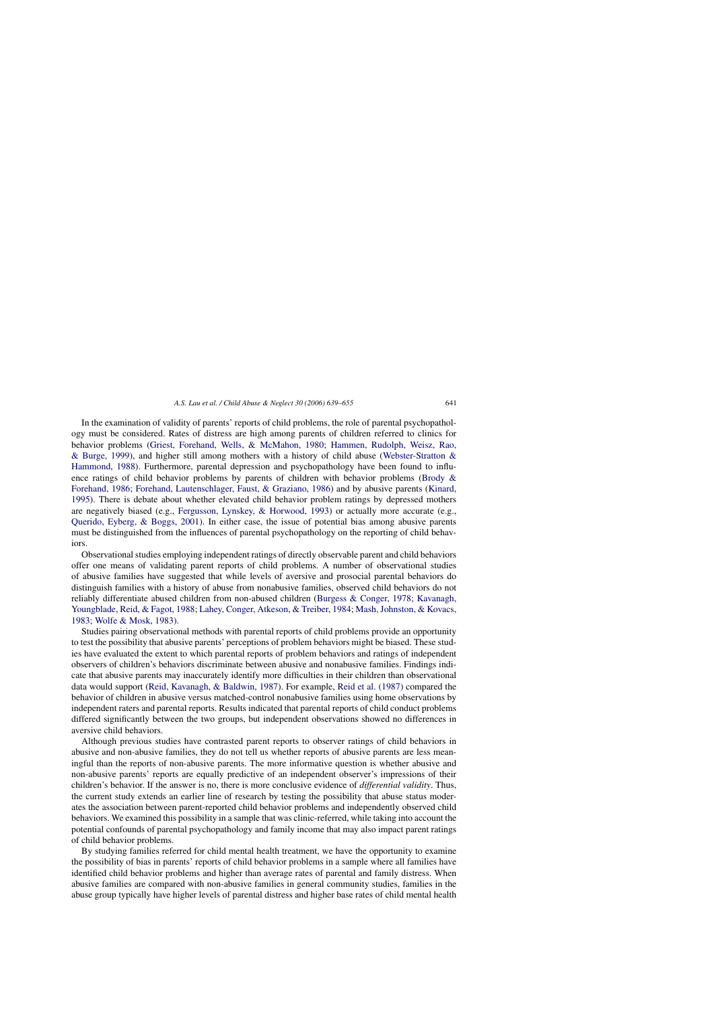In the examination of validity of parents' reports of child problems, the role of parental psychopathology must be considered. Rates of distress are high among parents of children referred to clinics for behavior problems ([Griest, Forehand, Wells, & McMahon, 1980;](#page-14-0) [Hammen, Rudolph, Weisz, Rao,](#page-14-0) [& Burge, 1999\),](#page-14-0) and higher still among mothers with a history of child abuse ([Webster-Stratton &](#page-15-0) [Hammond, 1988\).](#page-15-0) Furthermore, parental depression and psychopathology have been found to influence ratings of child behavior problems by parents of children with behavior problems ([Brody &](#page-13-0) [Forehand, 1986;](#page-13-0) [Forehand, Lautenschlager, Faust, & Graziano, 1986\)](#page-14-0) and by abusive parents [\(Kinard,](#page-14-0) [1995\).](#page-14-0) There is debate about whether elevated child behavior problem ratings by depressed mothers are negatively biased (e.g., [Fergusson, Lynskey, & Horwood, 1993\)](#page-14-0) or actually more accurate (e.g., [Querido, Eyberg, & Boggs, 2001\).](#page-15-0) In either case, the issue of potential bias among abusive parents must be distinguished from the influences of parental psychopathology on the reporting of child behaviors.

Observational studies employing independent ratings of directly observable parent and child behaviors offer one means of validating parent reports of child problems. A number of observational studies of abusive families have suggested that while levels of aversive and prosocial parental behaviors do distinguish families with a history of abuse from nonabusive families, observed child behaviors do not reliably differentiate abused children from non-abused children [\(Burgess & Conger, 1978;](#page-14-0) [Kavanagh,](#page-14-0) [Youngblade, Reid, & Fagot, 1988;](#page-14-0) [Lahey, Conger, Atkeson, & Treiber, 1984;](#page-15-0) [Mash, Johnston, & Kovacs,](#page-15-0) [1983;](#page-15-0) [Wolfe & Mosk, 1983\).](#page-15-0)

Studies pairing observational methods with parental reports of child problems provide an opportunity to test the possibility that abusive parents' perceptions of problem behaviors might be biased. These studies have evaluated the extent to which parental reports of problem behaviors and ratings of independent observers of children's behaviors discriminate between abusive and nonabusive families. Findings indicate that abusive parents may inaccurately identify more difficulties in their children than observational data would support [\(Reid, Kavanagh, & Baldwin, 1987\).](#page-15-0) For example, [Reid et al. \(1987\)](#page-15-0) compared the behavior of children in abusive versus matched-control nonabusive families using home observations by independent raters and parental reports. Results indicated that parental reports of child conduct problems differed significantly between the two groups, but independent observations showed no differences in aversive child behaviors.

Although previous studies have contrasted parent reports to observer ratings of child behaviors in abusive and non-abusive families, they do not tell us whether reports of abusive parents are less meaningful than the reports of non-abusive parents. The more informative question is whether abusive and non-abusive parents' reports are equally predictive of an independent observer's impressions of their children's behavior. If the answer is no, there is more conclusive evidence of *differential validity*. Thus, the current study extends an earlier line of research by testing the possibility that abuse status moderates the association between parent-reported child behavior problems and independently observed child behaviors. We examined this possibility in a sample that was clinic-referred, while taking into account the potential confounds of parental psychopathology and family income that may also impact parent ratings of child behavior problems.

By studying families referred for child mental health treatment, we have the opportunity to examine the possibility of bias in parents' reports of child behavior problems in a sample where all families have identified child behavior problems and higher than average rates of parental and family distress. When abusive families are compared with non-abusive families in general community studies, families in the abuse group typically have higher levels of parental distress and higher base rates of child mental health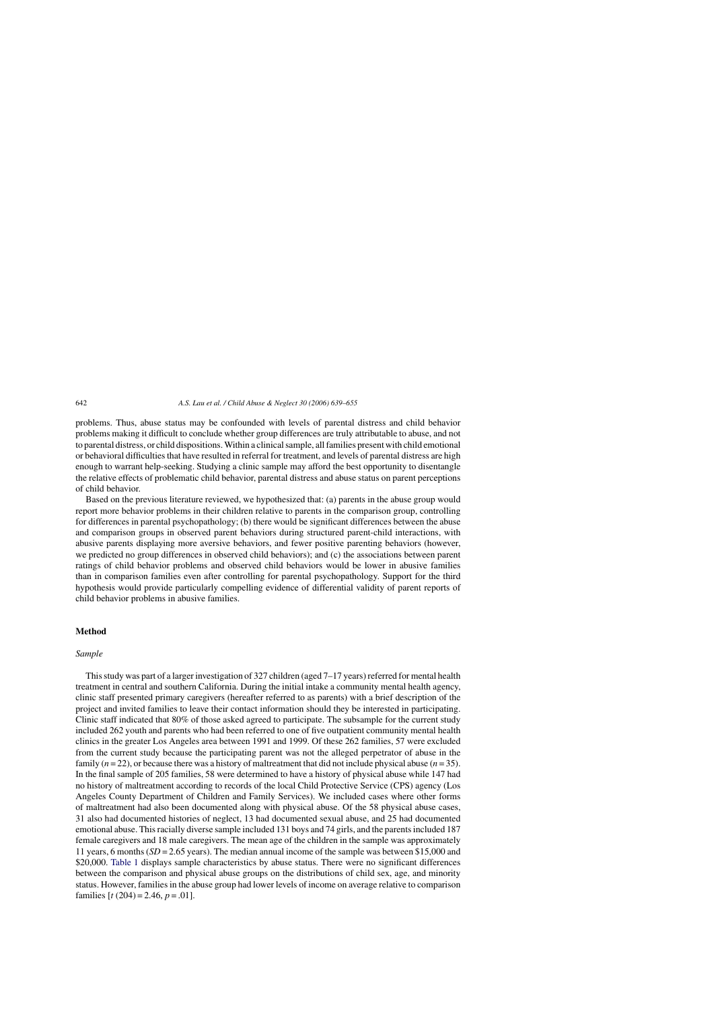problems. Thus, abuse status may be confounded with levels of parental distress and child behavior problems making it difficult to conclude whether group differences are truly attributable to abuse, and not to parental distress, or child dispositions. Within a clinical sample, all families present with child emotional or behavioral difficulties that have resulted in referral for treatment, and levels of parental distress are high enough to warrant help-seeking. Studying a clinic sample may afford the best opportunity to disentangle the relative effects of problematic child behavior, parental distress and abuse status on parent perceptions of child behavior.

Based on the previous literature reviewed, we hypothesized that: (a) parents in the abuse group would report more behavior problems in their children relative to parents in the comparison group, controlling for differences in parental psychopathology; (b) there would be significant differences between the abuse and comparison groups in observed parent behaviors during structured parent-child interactions, with abusive parents displaying more aversive behaviors, and fewer positive parenting behaviors (however, we predicted no group differences in observed child behaviors); and (c) the associations between parent ratings of child behavior problems and observed child behaviors would be lower in abusive families than in comparison families even after controlling for parental psychopathology. Support for the third hypothesis would provide particularly compelling evidence of differential validity of parent reports of child behavior problems in abusive families.

#### **Method**

### *Sample*

This study was part of a larger investigation of 327 children (aged 7–17 years) referred for mental health treatment in central and southern California. During the initial intake a community mental health agency, clinic staff presented primary caregivers (hereafter referred to as parents) with a brief description of the project and invited families to leave their contact information should they be interested in participating. Clinic staff indicated that 80% of those asked agreed to participate. The subsample for the current study included 262 youth and parents who had been referred to one of five outpatient community mental health clinics in the greater Los Angeles area between 1991 and 1999. Of these 262 families, 57 were excluded from the current study because the participating parent was not the alleged perpetrator of abuse in the family  $(n=22)$ , or because there was a history of maltreatment that did not include physical abuse  $(n=35)$ . In the final sample of 205 families, 58 were determined to have a history of physical abuse while 147 had no history of maltreatment according to records of the local Child Protective Service (CPS) agency (Los Angeles County Department of Children and Family Services). We included cases where other forms of maltreatment had also been documented along with physical abuse. Of the 58 physical abuse cases, 31 also had documented histories of neglect, 13 had documented sexual abuse, and 25 had documented emotional abuse. This racially diverse sample included 131 boys and 74 girls, and the parents included 187 female caregivers and 18 male caregivers. The mean age of the children in the sample was approximately 11 years, 6 months (*SD* = 2.65 years). The median annual income of the sample was between \$15,000 and \$20,000. [Table 1](#page-4-0) displays sample characteristics by abuse status. There were no significant differences between the comparison and physical abuse groups on the distributions of child sex, age, and minority status. However, families in the abuse group had lower levels of income on average relative to comparison families  $[t (204) = 2.46, p = .01]$ .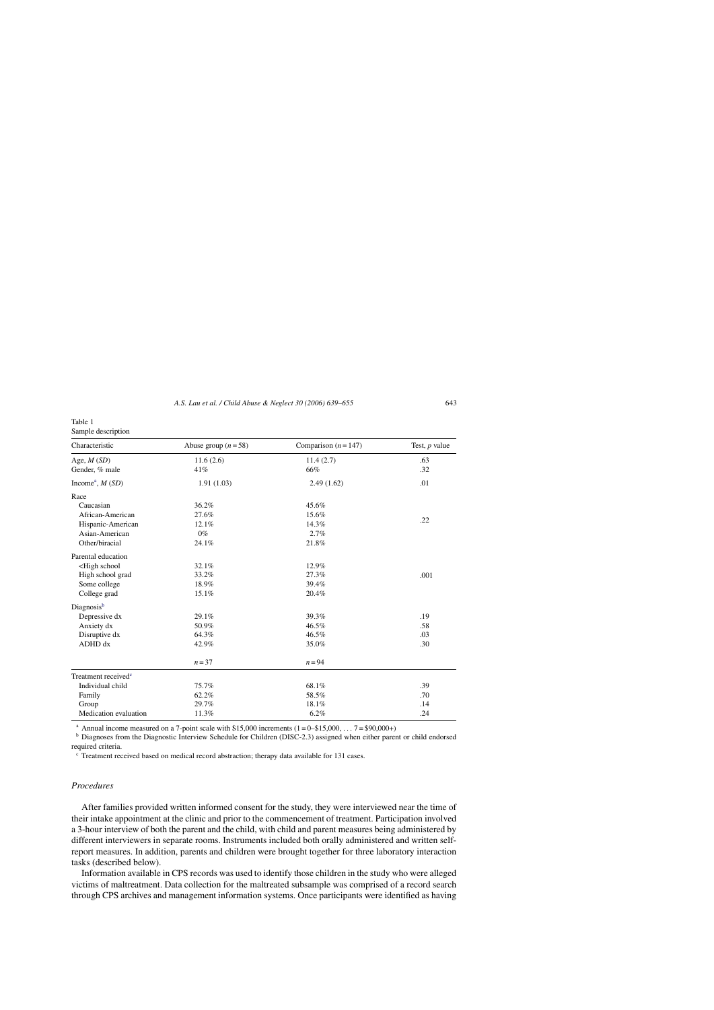<span id="page-4-0"></span>

| Table 1            |  |
|--------------------|--|
| Sample description |  |

| Characteristic                                                      | Abuse group $(n=58)$ | Comparison $(n = 147)$ | Test, $p$ value |
|---------------------------------------------------------------------|----------------------|------------------------|-----------------|
| Age, $M(SD)$                                                        | 11.6(2.6)            | 11.4(2.7)              | .63             |
| Gender, % male                                                      | 41%                  | 66%                    | .32             |
| Income <sup>a</sup> , $M(SD)$                                       | 1.91(1.03)           | 2.49(1.62)             | .01             |
| Race                                                                |                      |                        |                 |
| Caucasian                                                           | 36.2%                | 45.6%                  |                 |
| African-American                                                    | 27.6%                | 15.6%                  |                 |
| Hispanic-American                                                   | 12.1%                | 14.3%                  | .22             |
| Asian-American                                                      | $0\%$                | 2.7%                   |                 |
| Other/biracial                                                      | 24.1%                | 21.8%                  |                 |
| Parental education                                                  |                      |                        |                 |
| <high school<="" td=""><td>32.1%</td><td>12.9%</td><td></td></high> | 32.1%                | 12.9%                  |                 |
| High school grad                                                    | 33.2%                | 27.3%                  | .001            |
| Some college                                                        | 18.9%                | 39.4%                  |                 |
| College grad                                                        | 15.1%                | 20.4%                  |                 |
| Diagnosis <sup>b</sup>                                              |                      |                        |                 |
| Depressive dx                                                       | 29.1%                | 39.3%                  | .19             |
| Anxiety dx                                                          | 50.9%                | 46.5%                  | .58             |
| Disruptive dx                                                       | 64.3%                | 46.5%                  | .03             |
| ADHD dx                                                             | 42.9%                | 35.0%                  | .30             |
|                                                                     | $n = 37$             | $n = 94$               |                 |
| Treatment received <sup>c</sup>                                     |                      |                        |                 |
| Individual child                                                    | 75.7%                | 68.1%                  | .39             |
| Family                                                              | 62.2%                | 58.5%                  | .70             |
| Group                                                               | 29.7%                | 18.1%                  | .14             |
| Medication evaluation                                               | 11.3%                | 6.2%                   | .24             |

<sup>a</sup> Annual income measured on a 7-point scale with \$15,000 increments  $(1 = 0 - $15,000, \ldots, 7 = $90,000+)$ 

<sup>b</sup> Diagnoses from the Diagnostic Interview Schedule for Children (DISC-2.3) assigned when either parent or child endorsed required criteria.

<sup>c</sup> Treatment received based on medical record abstraction; therapy data available for 131 cases.

## *Procedures*

After families provided written informed consent for the study, they were interviewed near the time of their intake appointment at the clinic and prior to the commencement of treatment. Participation involved a 3-hour interview of both the parent and the child, with child and parent measures being administered by different interviewers in separate rooms. Instruments included both orally administered and written selfreport measures. In addition, parents and children were brought together for three laboratory interaction tasks (described below).

Information available in CPS records was used to identify those children in the study who were alleged victims of maltreatment. Data collection for the maltreated subsample was comprised of a record search through CPS archives and management information systems. Once participants were identified as having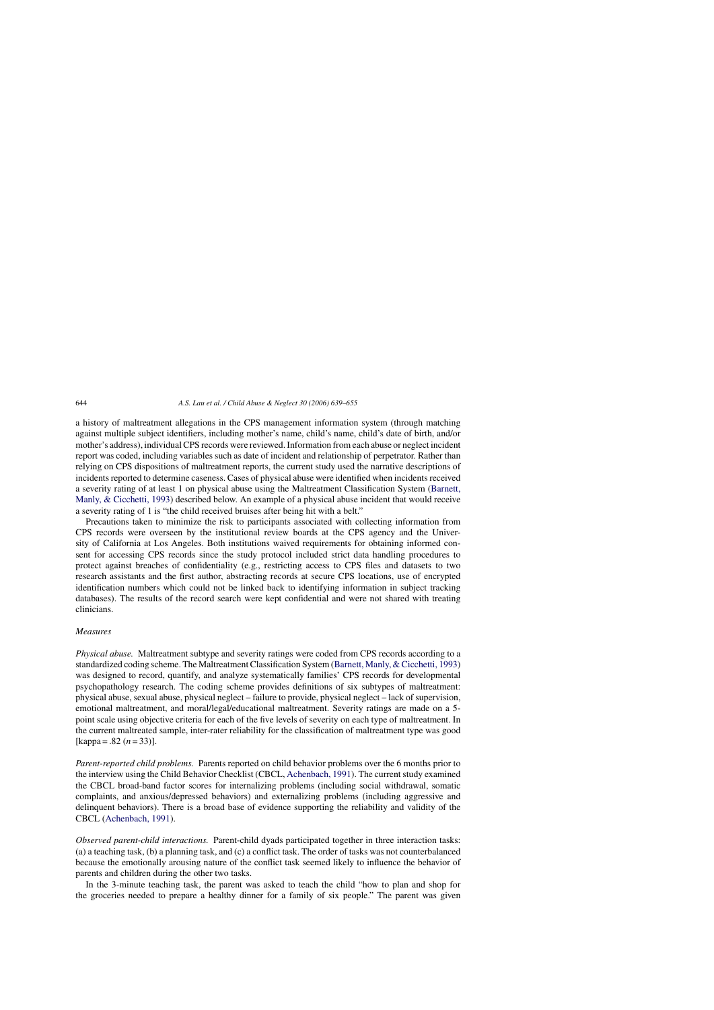a history of maltreatment allegations in the CPS management information system (through matching against multiple subject identifiers, including mother's name, child's name, child's date of birth, and/or mother's address), individual CPS records were reviewed. Information from each abuse or neglect incident report was coded, including variables such as date of incident and relationship of perpetrator. Rather than relying on CPS dispositions of maltreatment reports, the current study used the narrative descriptions of incidents reported to determine caseness. Cases of physical abuse were identified when incidents received a severity rating of at least 1 on physical abuse using the Maltreatment Classification System [\(Barnett,](#page-13-0) [Manly, & Cicchetti, 1993\)](#page-13-0) described below. An example of a physical abuse incident that would receive a severity rating of 1 is "the child received bruises after being hit with a belt."

Precautions taken to minimize the risk to participants associated with collecting information from CPS records were overseen by the institutional review boards at the CPS agency and the University of California at Los Angeles. Both institutions waived requirements for obtaining informed consent for accessing CPS records since the study protocol included strict data handling procedures to protect against breaches of confidentiality (e.g., restricting access to CPS files and datasets to two research assistants and the first author, abstracting records at secure CPS locations, use of encrypted identification numbers which could not be linked back to identifying information in subject tracking databases). The results of the record search were kept confidential and were not shared with treating clinicians.

#### *Measures*

*Physical abuse.* Maltreatment subtype and severity ratings were coded from CPS records according to a standardized coding scheme. The Maltreatment Classification System [\(Barnett, Manly, & Cicchetti, 1993\)](#page-13-0) was designed to record, quantify, and analyze systematically families' CPS records for developmental psychopathology research. The coding scheme provides definitions of six subtypes of maltreatment: physical abuse, sexual abuse, physical neglect – failure to provide, physical neglect – lack of supervision, emotional maltreatment, and moral/legal/educational maltreatment. Severity ratings are made on a 5 point scale using objective criteria for each of the five levels of severity on each type of maltreatment. In the current maltreated sample, inter-rater reliability for the classification of maltreatment type was good  $[kappa = .82 (n = 33)].$ 

*Parent-reported child problems.* Parents reported on child behavior problems over the 6 months prior to the interview using the Child Behavior Checklist (CBCL, [Achenbach, 1991\).](#page-13-0) The current study examined the CBCL broad-band factor scores for internalizing problems (including social withdrawal, somatic complaints, and anxious/depressed behaviors) and externalizing problems (including aggressive and delinquent behaviors). There is a broad base of evidence supporting the reliability and validity of the CBCL [\(Achenbach, 1991\).](#page-13-0)

*Observed parent-child interactions.* Parent-child dyads participated together in three interaction tasks: (a) a teaching task, (b) a planning task, and (c) a conflict task. The order of tasks was not counterbalanced because the emotionally arousing nature of the conflict task seemed likely to influence the behavior of parents and children during the other two tasks.

In the 3-minute teaching task, the parent was asked to teach the child "how to plan and shop for the groceries needed to prepare a healthy dinner for a family of six people." The parent was given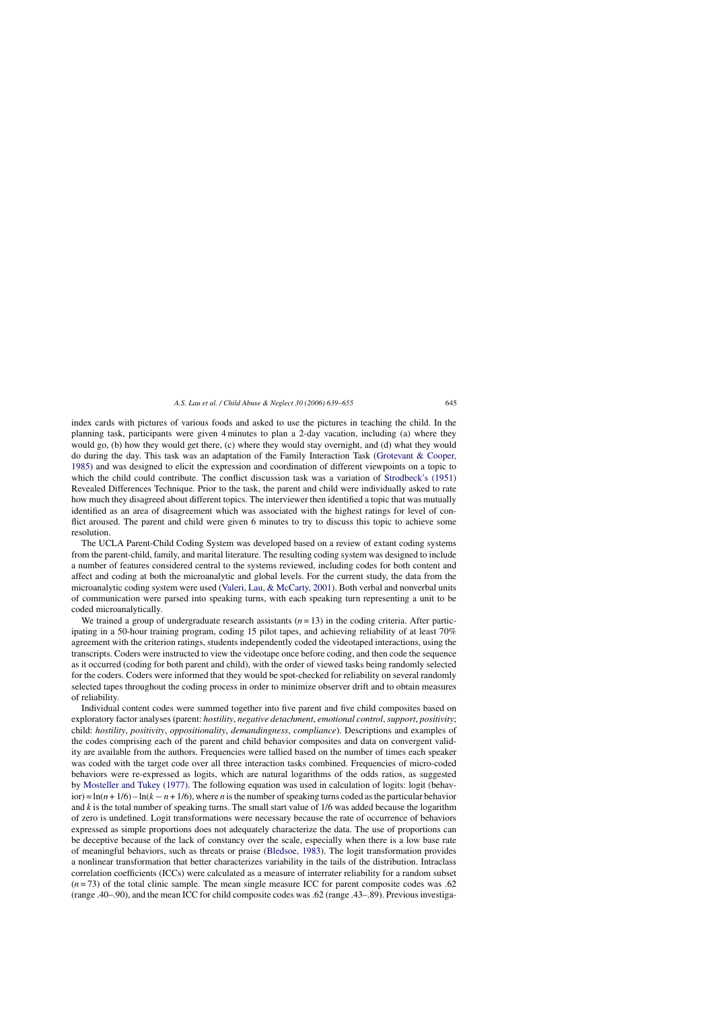index cards with pictures of various foods and asked to use the pictures in teaching the child. In the planning task, participants were given 4 minutes to plan a 2-day vacation, including (a) where they would go, (b) how they would get there, (c) where they would stay overnight, and (d) what they would do during the day. This task was an adaptation of the Family Interaction Task [\(Grotevant & Cooper,](#page-14-0) [1985\)](#page-14-0) and was designed to elicit the expression and coordination of different viewpoints on a topic to which the child could contribute. The conflict discussion task was a variation of [Strodbeck's \(1951\)](#page-15-0) Revealed Differences Technique. Prior to the task, the parent and child were individually asked to rate how much they disagreed about different topics. The interviewer then identified a topic that was mutually identified as an area of disagreement which was associated with the highest ratings for level of conflict aroused. The parent and child were given 6 minutes to try to discuss this topic to achieve some resolution.

The UCLA Parent-Child Coding System was developed based on a review of extant coding systems from the parent-child, family, and marital literature. The resulting coding system was designed to include a number of features considered central to the systems reviewed, including codes for both content and affect and coding at both the microanalytic and global levels. For the current study, the data from the microanalytic coding system were used ([Valeri, Lau, & McCarty, 2001\).](#page-15-0) Both verbal and nonverbal units of communication were parsed into speaking turns, with each speaking turn representing a unit to be coded microanalytically.

We trained a group of undergraduate research assistants  $(n = 13)$  in the coding criteria. After participating in a 50-hour training program, coding 15 pilot tapes, and achieving reliability of at least 70% agreement with the criterion ratings, students independently coded the videotaped interactions, using the transcripts. Coders were instructed to view the videotape once before coding, and then code the sequence as it occurred (coding for both parent and child), with the order of viewed tasks being randomly selected for the coders. Coders were informed that they would be spot-checked for reliability on several randomly selected tapes throughout the coding process in order to minimize observer drift and to obtain measures of reliability.

Individual content codes were summed together into five parent and five child composites based on exploratory factor analyses (parent: *hostility*, *negative detachment*, *emotional control*, *support*, *positivity*; child: *hostility*, *positivity*, *oppositionality*, *demandingness*, *compliance*). Descriptions and examples of the codes comprising each of the parent and child behavior composites and data on convergent validity are available from the authors. Frequencies were tallied based on the number of times each speaker was coded with the target code over all three interaction tasks combined. Frequencies of micro-coded behaviors were re-expressed as logits, which are natural logarithms of the odds ratios, as suggested by [Mosteller and Tukey \(1977\).](#page-15-0) The following equation was used in calculation of logits: logit (behav- $\sinh^{-1}(\ln(n+1/6) - \ln(k - n + 1/6))$ , where *n* is the number of speaking turns coded as the particular behavior and *k* is the total number of speaking turns. The small start value of 1/6 was added because the logarithm of zero is undefined. Logit transformations were necessary because the rate of occurrence of behaviors expressed as simple proportions does not adequately characterize the data. The use of proportions can be deceptive because of the lack of constancy over the scale, especially when there is a low base rate of meaningful behaviors, such as threats or praise ([Bledsoe, 1983\).](#page-13-0) The logit transformation provides a nonlinear transformation that better characterizes variability in the tails of the distribution. Intraclass correlation coefficients (ICCs) were calculated as a measure of interrater reliability for a random subset  $(n=73)$  of the total clinic sample. The mean single measure ICC for parent composite codes was .62 (range .40–.90), and the mean ICC for child composite codes was .62 (range .43–.89). Previous investiga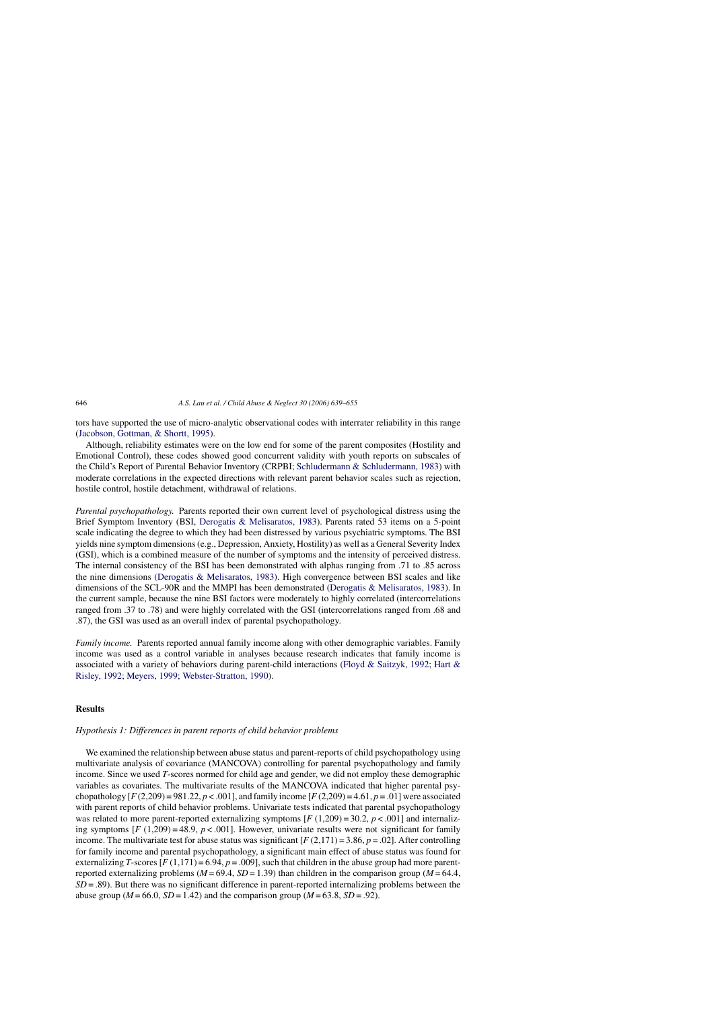tors have supported the use of micro-analytic observational codes with interrater reliability in this range ([Jacobson, Gottman, & Shortt, 1995\).](#page-14-0)

Although, reliability estimates were on the low end for some of the parent composites (Hostility and Emotional Control), these codes showed good concurrent validity with youth reports on subscales of the Child's Report of Parental Behavior Inventory (CRPBI; [Schludermann & Schludermann, 1983\)](#page-15-0) with moderate correlations in the expected directions with relevant parent behavior scales such as rejection, hostile control, hostile detachment, withdrawal of relations.

*Parental psychopathology.* Parents reported their own current level of psychological distress using the Brief Symptom Inventory (BSI, [Derogatis & Melisaratos, 1983\).](#page-14-0) Parents rated 53 items on a 5-point scale indicating the degree to which they had been distressed by various psychiatric symptoms. The BSI yields nine symptom dimensions (e.g., Depression, Anxiety, Hostility) as well as a General Severity Index (GSI), which is a combined measure of the number of symptoms and the intensity of perceived distress. The internal consistency of the BSI has been demonstrated with alphas ranging from .71 to .85 across the nine dimensions ([Derogatis & Melisaratos, 1983\).](#page-14-0) High convergence between BSI scales and like dimensions of the SCL-90R and the MMPI has been demonstrated [\(Derogatis & Melisaratos, 1983\).](#page-14-0) In the current sample, because the nine BSI factors were moderately to highly correlated (intercorrelations ranged from .37 to .78) and were highly correlated with the GSI (intercorrelations ranged from .68 and .87), the GSI was used as an overall index of parental psychopathology.

*Family income.* Parents reported annual family income along with other demographic variables. Family income was used as a control variable in analyses because research indicates that family income is associated with a variety of behaviors during parent-child interactions [\(Floyd & Saitzyk, 1992;](#page-14-0) [Hart &](#page-14-0) [Risley, 1992;](#page-14-0) [Meyers, 1999; Webster-Stratton, 1990\).](#page-15-0)

## **Results**

#### *Hypothesis 1: Differences in parent reports of child behavior problems*

We examined the relationship between abuse status and parent-reports of child psychopathology using multivariate analysis of covariance (MANCOVA) controlling for parental psychopathology and family income. Since we used *T*-scores normed for child age and gender, we did not employ these demographic variables as covariates. The multivariate results of the MANCOVA indicated that higher parental psychopathology  $[F(2,209) = 981.22, p < .001]$ , and family income  $[F(2,209) = 4.61, p = .01]$  were associated with parent reports of child behavior problems. Univariate tests indicated that parental psychopathology was related to more parent-reported externalizing symptoms  $[F(1,209) = 30.2, p < .001]$  and internalizing symptoms  $[F (1,209) = 48.9, p < .001]$ . However, univariate results were not significant for family income. The multivariate test for abuse status was significant  $[F(2,171) = 3.86, p = .02]$ . After controlling for family income and parental psychopathology, a significant main effect of abuse status was found for externalizing *T*-scores  $[F(1,171) = 6.94, p = .009]$ , such that children in the abuse group had more parentreported externalizing problems ( $M = 69.4$ ,  $SD = 1.39$ ) than children in the comparison group ( $M = 64.4$ , *SD* = .89). But there was no significant difference in parent-reported internalizing problems between the abuse group ( $M = 66.0$ ,  $SD = 1.42$ ) and the comparison group ( $M = 63.8$ ,  $SD = .92$ ).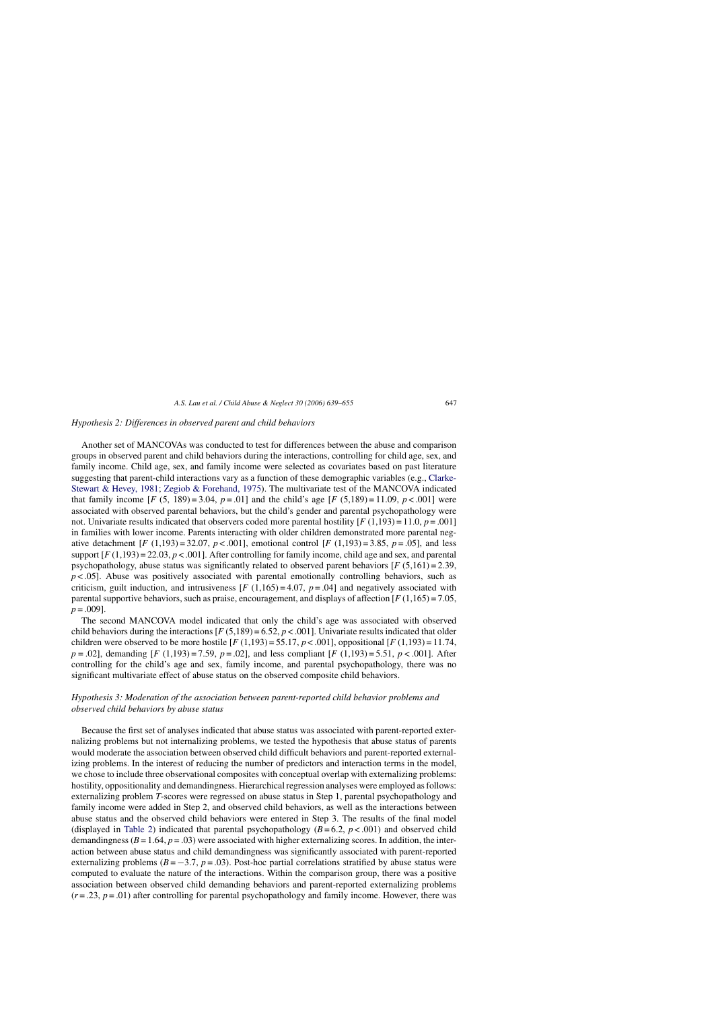## *Hypothesis 2: Differences in observed parent and child behaviors*

Another set of MANCOVAs was conducted to test for differences between the abuse and comparison groups in observed parent and child behaviors during the interactions, controlling for child age, sex, and family income. Child age, sex, and family income were selected as covariates based on past literature suggesting that parent-child interactions vary as a function of these demographic variables (e.g., [Clarke-](#page-14-0)Stewart [& Hevey, 1981;](#page-14-0) [Zegiob & Forehand, 1975\).](#page-15-0) The multivariate test of the MANCOVA indicated that family income  $[F (5, 189) = 3.04, p = .01]$  and the child's age  $[F (5, 189) = 11.09, p < .001]$  were associated with observed parental behaviors, but the child's gender and parental psychopathology were not. Univariate results indicated that observers coded more parental hostility  $[F(1,193) = 11.0, p = .001]$ in families with lower income. Parents interacting with older children demonstrated more parental negative detachment  $[F (1,193) = 32.07, p < .001]$ , emotional control  $[F (1,193) = 3.85, p = .05]$ , and less support  $[F(1,193) = 22.03, p < .001]$ . After controlling for family income, child age and sex, and parental psychopathology, abuse status was significantly related to observed parent behaviors  $[F (5,161) = 2.39]$ ,  $p < .05$ . Abuse was positively associated with parental emotionally controlling behaviors, such as criticism, guilt induction, and intrusiveness  $[F(1,165) = 4.07, p = .04]$  and negatively associated with parental supportive behaviors, such as praise, encouragement, and displays of affection  $\left[ F(1,165) = 7.05, \right]$ *p* = .009].

The second MANCOVA model indicated that only the child's age was associated with observed child behaviors during the interactions  $[F(5,189) = 6.52, p < .001]$ . Univariate results indicated that older children were observed to be more hostile  $[F(1,193) = 55.17, p < .001]$ , oppositional  $[F(1,193) = 11.74,$ *p =*.02], demanding [*F* (1,193) = 7.59, *p* = .02], and less compliant [*F* (1,193) = 5.51, *p <*.001]. After controlling for the child's age and sex, family income, and parental psychopathology, there was no significant multivariate effect of abuse status on the observed composite child behaviors.

## *Hypothesis 3: Moderation of the association between parent-reported child behavior problems and observed child behaviors by abuse status*

Because the first set of analyses indicated that abuse status was associated with parent-reported externalizing problems but not internalizing problems, we tested the hypothesis that abuse status of parents would moderate the association between observed child difficult behaviors and parent-reported externalizing problems. In the interest of reducing the number of predictors and interaction terms in the model, we chose to include three observational composites with conceptual overlap with externalizing problems: hostility, oppositionality and demandingness. Hierarchical regression analyses were employed as follows: externalizing problem *T*-scores were regressed on abuse status in Step 1, parental psychopathology and family income were added in Step 2, and observed child behaviors, as well as the interactions between abuse status and the observed child behaviors were entered in Step 3. The results of the final model (displayed in [Table 2\)](#page-9-0) indicated that parental psychopathology  $(B=6.2, p<.001)$  and observed child demandingness  $(B = 1.64, p = .03)$  were associated with higher externalizing scores. In addition, the interaction between abuse status and child demandingness was significantly associated with parent-reported externalizing problems  $(B = -3.7, p = .03)$ . Post-hoc partial correlations stratified by abuse status were computed to evaluate the nature of the interactions. Within the comparison group, there was a positive association between observed child demanding behaviors and parent-reported externalizing problems  $(r = .23, p = .01)$  after controlling for parental psychopathology and family income. However, there was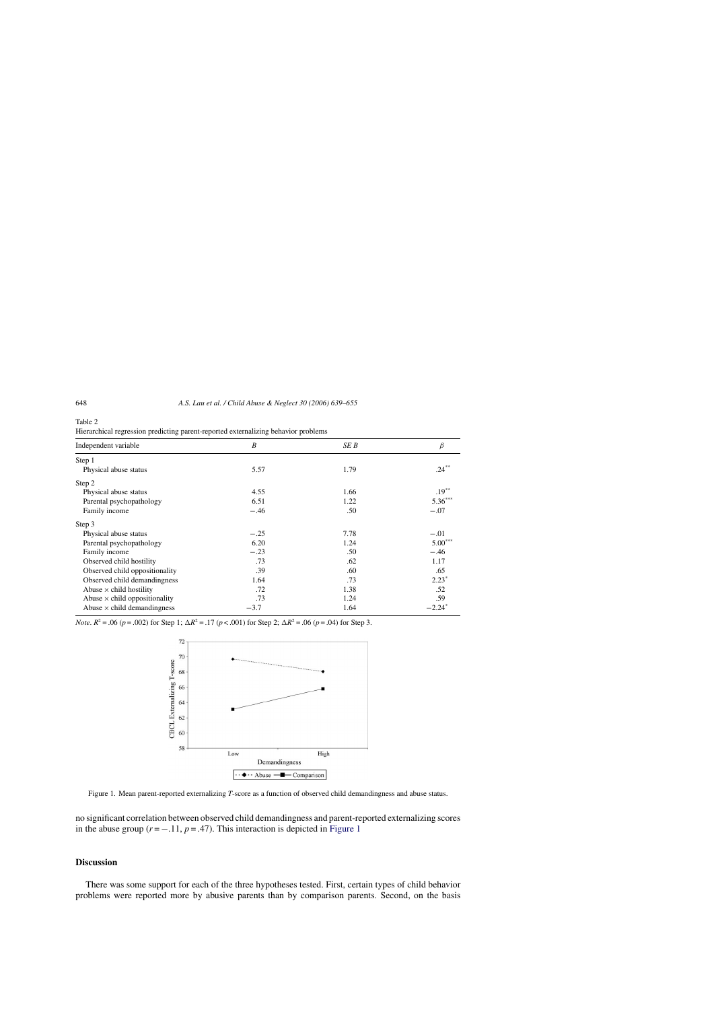| Fable |  |
|-------|--|

| Independent variable                 | B      | SE B | β                    |
|--------------------------------------|--------|------|----------------------|
| Step 1                               |        |      |                      |
| Physical abuse status                | 5.57   | 1.79 | $.24***$             |
| Step 2                               |        |      |                      |
| Physical abuse status                | 4.55   | 1.66 | $.19***$             |
| Parental psychopathology             | 6.51   | 1.22 | $5.36***$            |
| Family income                        | $-.46$ | .50  | $-.07$               |
| Step 3                               |        |      |                      |
| Physical abuse status                | $-.25$ | 7.78 | $-.01$               |
| Parental psychopathology             | 6.20   | 1.24 | $5.00***$            |
| Family income                        | $-.23$ | .50  | $-.46$               |
| Observed child hostility             | .73    | .62  | 1.17                 |
| Observed child oppositionality       | .39    | .60  | .65                  |
| Observed child demandingness         | 1.64   | .73  | $2.23*$              |
| Abuse $\times$ child hostility       | .72    | 1.38 | .52                  |
| Abuse $\times$ child oppositionality | .73    | 1.24 | .59                  |
| Abuse $\times$ child demandingness   | $-3.7$ | 1.64 | $-2.24$ <sup>*</sup> |

*Note*.  $R^2 = .06$  ( $p = .002$ ) for Step 1;  $\Delta R^2 = .17$  ( $p < .001$ ) for Step 2;  $\Delta R^2 = .06$  ( $p = .04$ ) for Step 3.



Figure 1. Mean parent-reported externalizing *T*-score as a function of observed child demandingness and abuse status.

no significant correlation between observed child demandingness and parent-reported externalizing scores in the abuse group  $(r = -11, p = .47)$ . This interaction is depicted in Figure 1

## **Discussion**

There was some support for each of the three hypotheses tested. First, certain types of child behavior problems were reported more by abusive parents than by comparison parents. Second, on the basis

<span id="page-9-0"></span>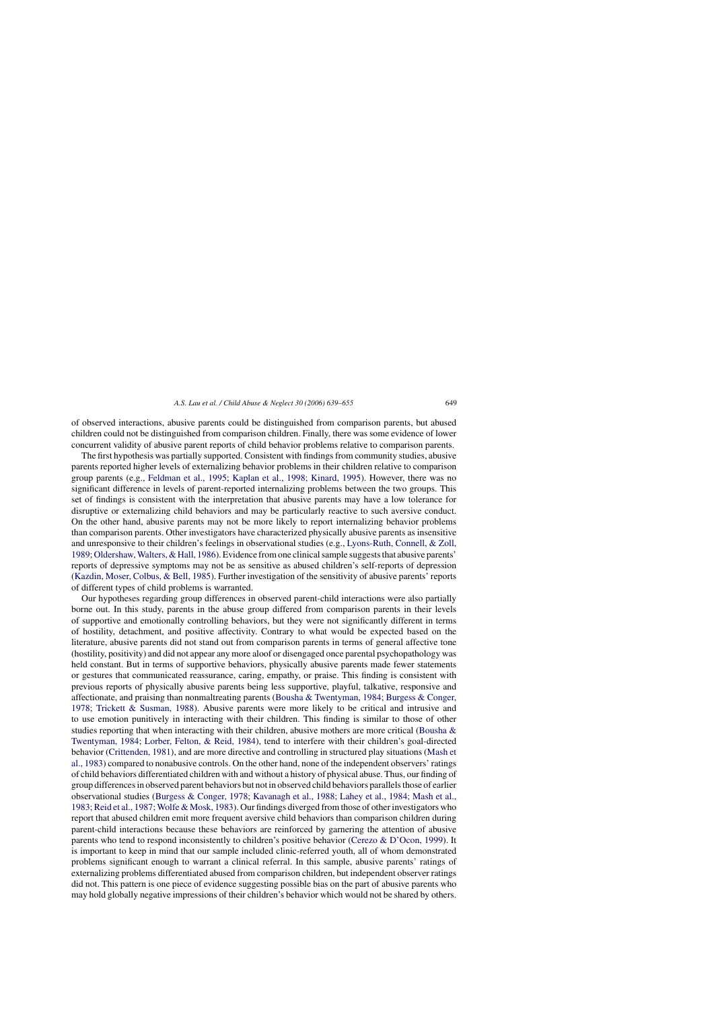of observed interactions, abusive parents could be distinguished from comparison parents, but abused children could not be distinguished from comparison children. Finally, there was some evidence of lower concurrent validity of abusive parent reports of child behavior problems relative to comparison parents.

The first hypothesis was partially supported. Consistent with findings from community studies, abusive parents reported higher levels of externalizing behavior problems in their children relative to comparison group parents (e.g., [Feldman et al., 1995; Kaplan et al., 1998; Kinard, 1995\).](#page-14-0) However, there was no significant difference in levels of parent-reported internalizing problems between the two groups. This set of findings is consistent with the interpretation that abusive parents may have a low tolerance for disruptive or externalizing child behaviors and may be particularly reactive to such aversive conduct. On the other hand, abusive parents may not be more likely to report internalizing behavior problems than comparison parents. Other investigators have characterized physically abusive parents as insensitive and unresponsive to their children's feelings in observational studies (e.g., [Lyons-Ruth, Connell, & Zoll,](#page-14-0) [1989;](#page-14-0) [Oldershaw, Walters, & Hall, 1986\).](#page-15-0) Evidence from one clinical sample suggests that abusive parents' reports of depressive symptoms may not be as sensitive as abused children's self-reports of depression ([Kazdin, Moser, Colbus, & Bell, 1985\).](#page-14-0) Further investigation of the sensitivity of abusive parents' reports of different types of child problems is warranted.

Our hypotheses regarding group differences in observed parent-child interactions were also partially borne out. In this study, parents in the abuse group differed from comparison parents in their levels of supportive and emotionally controlling behaviors, but they were not significantly different in terms of hostility, detachment, and positive affectivity. Contrary to what would be expected based on the literature, abusive parents did not stand out from comparison parents in terms of general affective tone (hostility, positivity) and did not appear any more aloof or disengaged once parental psychopathology was held constant. But in terms of supportive behaviors, physically abusive parents made fewer statements or gestures that communicated reassurance, caring, empathy, or praise. This finding is consistent with previous reports of physically abusive parents being less supportive, playful, talkative, responsive and affectionate, and praising than nonmaltreating parents ([Bousha & Twentyman, 1984;](#page-13-0) [Burgess & Conger,](#page-14-0) [1978;](#page-14-0) [Trickett & Susman, 1988\).](#page-14-0) Abusive parents were more likely to be critical and intrusive and to use emotion punitively in interacting with their children. This finding is similar to those of other studies reporting that when interacting with their children, abusive mothers are more critical (Bousha  $\&$ [Twentyman, 1984;](#page-13-0) [Lorber, Felton, & Reid, 1984\),](#page-15-0) tend to interfere with their children's goal-directed behavior [\(Crittenden, 1981\),](#page-14-0) and are more directive and controlling in structured play situations ([Mash et](#page-15-0) [al., 1983\)](#page-15-0) compared to nonabusive controls. On the other hand, none of the independent observers' ratings of child behaviors differentiated children with and without a history of physical abuse. Thus, our finding of group differences in observed parent behaviors but not in observed child behaviors parallels those of earlier observational studies [\(Burgess & Conger, 1978;](#page-14-0) [Kavanagh et al., 1988; Lahey et al., 1984; Mash et al.,](#page-14-0) [1983; Reid et al., 1987;](#page-14-0) [Wolfe & Mosk, 1983\).](#page-15-0) Our findings diverged from those of other investigators who report that abused children emit more frequent aversive child behaviors than comparison children during parent-child interactions because these behaviors are reinforced by garnering the attention of abusive parents who tend to respond inconsistently to children's positive behavior [\(Cerezo & D'Ocon, 1999\).](#page-14-0) It is important to keep in mind that our sample included clinic-referred youth, all of whom demonstrated problems significant enough to warrant a clinical referral. In this sample, abusive parents' ratings of externalizing problems differentiated abused from comparison children, but independent observer ratings did not. This pattern is one piece of evidence suggesting possible bias on the part of abusive parents who may hold globally negative impressions of their children's behavior which would not be shared by others.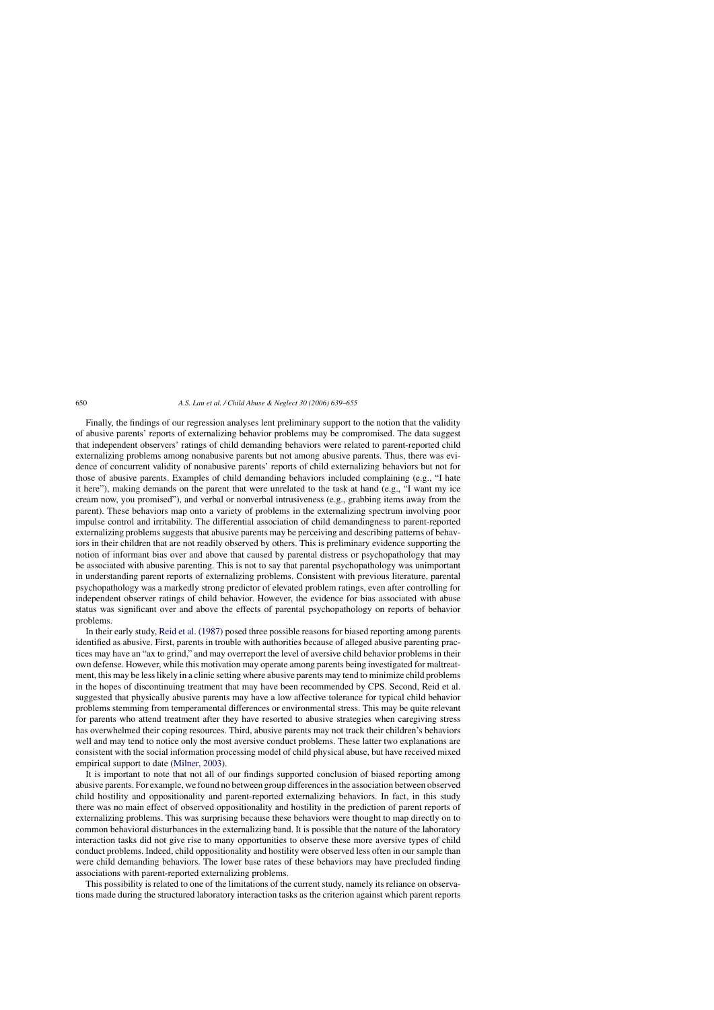Finally, the findings of our regression analyses lent preliminary support to the notion that the validity of abusive parents' reports of externalizing behavior problems may be compromised. The data suggest that independent observers' ratings of child demanding behaviors were related to parent-reported child externalizing problems among nonabusive parents but not among abusive parents. Thus, there was evidence of concurrent validity of nonabusive parents' reports of child externalizing behaviors but not for those of abusive parents. Examples of child demanding behaviors included complaining (e.g., "I hate it here"), making demands on the parent that were unrelated to the task at hand (e.g., "I want my ice cream now, you promised"), and verbal or nonverbal intrusiveness (e.g., grabbing items away from the parent). These behaviors map onto a variety of problems in the externalizing spectrum involving poor impulse control and irritability. The differential association of child demandingness to parent-reported externalizing problems suggests that abusive parents may be perceiving and describing patterns of behaviors in their children that are not readily observed by others. This is preliminary evidence supporting the notion of informant bias over and above that caused by parental distress or psychopathology that may be associated with abusive parenting. This is not to say that parental psychopathology was unimportant in understanding parent reports of externalizing problems. Consistent with previous literature, parental psychopathology was a markedly strong predictor of elevated problem ratings, even after controlling for independent observer ratings of child behavior. However, the evidence for bias associated with abuse status was significant over and above the effects of parental psychopathology on reports of behavior problems.

In their early study, [Reid et al. \(1987\)](#page-15-0) posed three possible reasons for biased reporting among parents identified as abusive. First, parents in trouble with authorities because of alleged abusive parenting practices may have an "ax to grind," and may overreport the level of aversive child behavior problems in their own defense. However, while this motivation may operate among parents being investigated for maltreatment, this may be less likely in a clinic setting where abusive parents may tend to minimize child problems in the hopes of discontinuing treatment that may have been recommended by CPS. Second, Reid et al. suggested that physically abusive parents may have a low affective tolerance for typical child behavior problems stemming from temperamental differences or environmental stress. This may be quite relevant for parents who attend treatment after they have resorted to abusive strategies when caregiving stress has overwhelmed their coping resources. Third, abusive parents may not track their children's behaviors well and may tend to notice only the most aversive conduct problems. These latter two explanations are consistent with the social information processing model of child physical abuse, but have received mixed empirical support to date ([Milner, 2003\).](#page-15-0)

It is important to note that not all of our findings supported conclusion of biased reporting among abusive parents. For example, we found no between group differences in the association between observed child hostility and oppositionality and parent-reported externalizing behaviors. In fact, in this study there was no main effect of observed oppositionality and hostility in the prediction of parent reports of externalizing problems. This was surprising because these behaviors were thought to map directly on to common behavioral disturbances in the externalizing band. It is possible that the nature of the laboratory interaction tasks did not give rise to many opportunities to observe these more aversive types of child conduct problems. Indeed, child oppositionality and hostility were observed less often in our sample than were child demanding behaviors. The lower base rates of these behaviors may have precluded finding associations with parent-reported externalizing problems.

This possibility is related to one of the limitations of the current study, namely its reliance on observations made during the structured laboratory interaction tasks as the criterion against which parent reports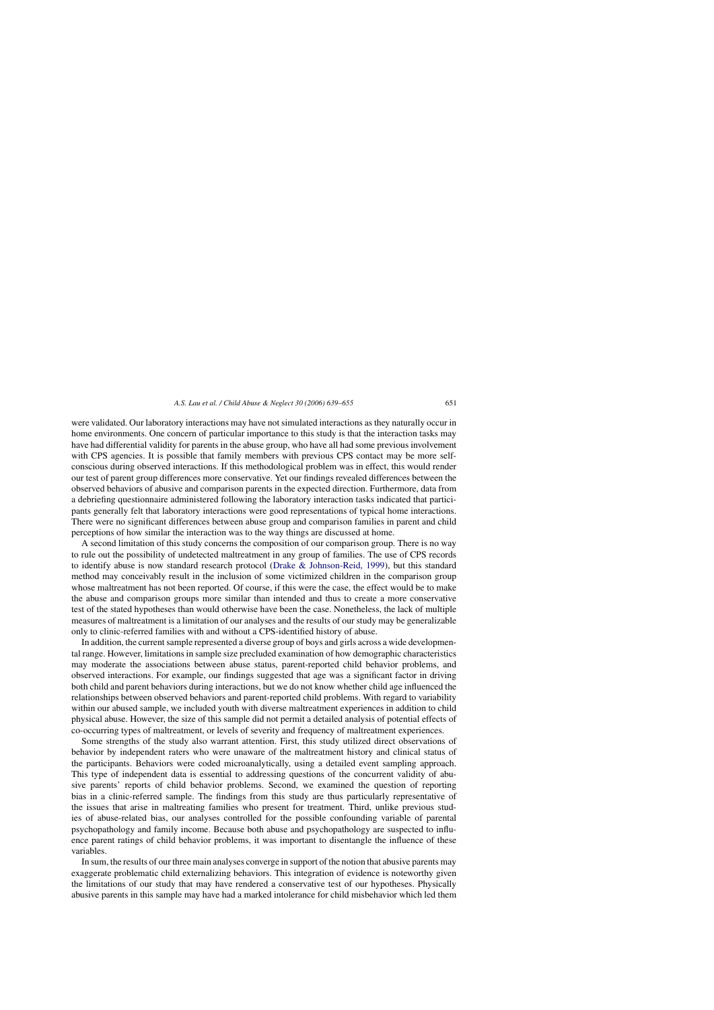were validated. Our laboratory interactions may have not simulated interactions as they naturally occur in home environments. One concern of particular importance to this study is that the interaction tasks may have had differential validity for parents in the abuse group, who have all had some previous involvement with CPS agencies. It is possible that family members with previous CPS contact may be more selfconscious during observed interactions. If this methodological problem was in effect, this would render our test of parent group differences more conservative. Yet our findings revealed differences between the observed behaviors of abusive and comparison parents in the expected direction. Furthermore, data from a debriefing questionnaire administered following the laboratory interaction tasks indicated that participants generally felt that laboratory interactions were good representations of typical home interactions. There were no significant differences between abuse group and comparison families in parent and child perceptions of how similar the interaction was to the way things are discussed at home.

A second limitation of this study concerns the composition of our comparison group. There is no way to rule out the possibility of undetected maltreatment in any group of families. The use of CPS records to identify abuse is now standard research protocol [\(Drake & Johnson-Reid, 1999\),](#page-14-0) but this standard method may conceivably result in the inclusion of some victimized children in the comparison group whose maltreatment has not been reported. Of course, if this were the case, the effect would be to make the abuse and comparison groups more similar than intended and thus to create a more conservative test of the stated hypotheses than would otherwise have been the case. Nonetheless, the lack of multiple measures of maltreatment is a limitation of our analyses and the results of our study may be generalizable only to clinic-referred families with and without a CPS-identified history of abuse.

In addition, the current sample represented a diverse group of boys and girls across a wide developmental range. However, limitations in sample size precluded examination of how demographic characteristics may moderate the associations between abuse status, parent-reported child behavior problems, and observed interactions. For example, our findings suggested that age was a significant factor in driving both child and parent behaviors during interactions, but we do not know whether child age influenced the relationships between observed behaviors and parent-reported child problems. With regard to variability within our abused sample, we included youth with diverse maltreatment experiences in addition to child physical abuse. However, the size of this sample did not permit a detailed analysis of potential effects of co-occurring types of maltreatment, or levels of severity and frequency of maltreatment experiences.

Some strengths of the study also warrant attention. First, this study utilized direct observations of behavior by independent raters who were unaware of the maltreatment history and clinical status of the participants. Behaviors were coded microanalytically, using a detailed event sampling approach. This type of independent data is essential to addressing questions of the concurrent validity of abusive parents' reports of child behavior problems. Second, we examined the question of reporting bias in a clinic-referred sample. The findings from this study are thus particularly representative of the issues that arise in maltreating families who present for treatment. Third, unlike previous studies of abuse-related bias, our analyses controlled for the possible confounding variable of parental psychopathology and family income. Because both abuse and psychopathology are suspected to influence parent ratings of child behavior problems, it was important to disentangle the influence of these variables.

In sum, the results of our three main analyses converge in support of the notion that abusive parents may exaggerate problematic child externalizing behaviors. This integration of evidence is noteworthy given the limitations of our study that may have rendered a conservative test of our hypotheses. Physically abusive parents in this sample may have had a marked intolerance for child misbehavior which led them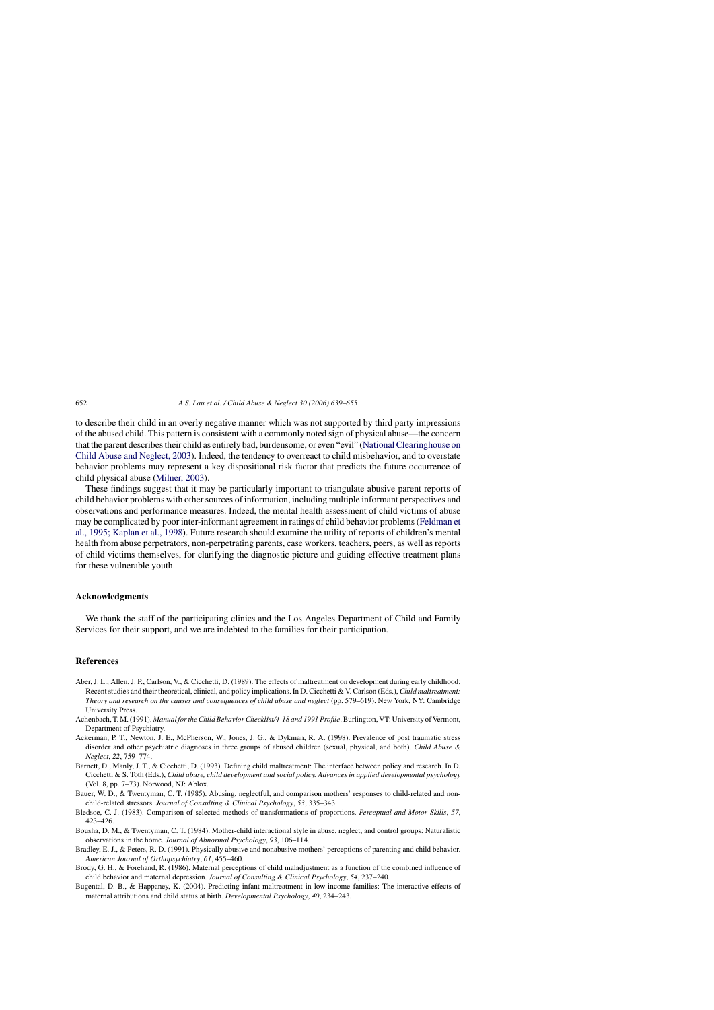<span id="page-13-0"></span>to describe their child in an overly negative manner which was not supported by third party impressions of the abused child. This pattern is consistent with a commonly noted sign of physical abuse—the concern that the parent describes their child as entirely bad, burdensome, or even "evil" ([National Clearinghouse on](#page-15-0) [Child Abuse and Neglect, 2003\).](#page-15-0) Indeed, the tendency to overreact to child misbehavior, and to overstate behavior problems may represent a key dispositional risk factor that predicts the future occurrence of child physical abuse [\(Milner, 2003\).](#page-15-0)

These findings suggest that it may be particularly important to triangulate abusive parent reports of child behavior problems with other sources of information, including multiple informant perspectives and observations and performance measures. Indeed, the mental health assessment of child victims of abuse may be complicated by poor inter-informant agreement in ratings of child behavior problems [\(Feldman et](#page-14-0) [al., 1995; Kaplan et al., 1998\).](#page-14-0) Future research should examine the utility of reports of children's mental health from abuse perpetrators, non-perpetrating parents, case workers, teachers, peers, as well as reports of child victims themselves, for clarifying the diagnostic picture and guiding effective treatment plans for these vulnerable youth.

# **Acknowledgments**

We thank the staff of the participating clinics and the Los Angeles Department of Child and Family Services for their support, and we are indebted to the families for their participation.

#### **References**

- Aber, J. L., Allen, J. P., Carlson, V., & Cicchetti, D. (1989). The effects of maltreatment on development during early childhood: Recent studies and their theoretical, clinical, and policy implications. In D. Cicchetti & V. Carlson (Eds.), *Child maltreatment: Theory and research on the causes and consequences of child abuse and neglect* (pp. 579–619). New York, NY: Cambridge University Press.
- Achenbach, T. M. (1991). *Manual for the Child Behavior Checklist/4-18 and 1991 Profile*. Burlington, VT: University of Vermont, Department of Psychiatry.
- Ackerman, P. T., Newton, J. E., McPherson, W., Jones, J. G., & Dykman, R. A. (1998). Prevalence of post traumatic stress disorder and other psychiatric diagnoses in three groups of abused children (sexual, physical, and both). *Child Abuse & Neglect*, *22*, 759–774.
- Barnett, D., Manly, J. T., & Cicchetti, D. (1993). Defining child maltreatment: The interface between policy and research. In D. Cicchetti & S. Toth (Eds.), *Child abuse, child development and social policy. Advances in applied developmental psychology* (Vol. 8, pp. 7–73). Norwood, NJ: Ablox.
- Bauer, W. D., & Twentyman, C. T. (1985). Abusing, neglectful, and comparison mothers' responses to child-related and nonchild-related stressors. *Journal of Consulting & Clinical Psychology*, *53*, 335–343.
- Bledsoe, C. J. (1983). Comparison of selected methods of transformations of proportions. *Perceptual and Motor Skills*, *57*, 423–426.
- Bousha, D. M., & Twentyman, C. T. (1984). Mother-child interactional style in abuse, neglect, and control groups: Naturalistic observations in the home. *Journal of Abnormal Psychology*, *93*, 106–114.
- Bradley, E. J., & Peters, R. D. (1991). Physically abusive and nonabusive mothers' perceptions of parenting and child behavior. *American Journal of Orthopsychiatry*, *61*, 455–460.
- Brody, G. H., & Forehand, R. (1986). Maternal perceptions of child maladjustment as a function of the combined influence of child behavior and maternal depression. *Journal of Consulting & Clinical Psychology*, *54*, 237–240.
- Bugental, D. B., & Happaney, K. (2004). Predicting infant maltreatment in low-income families: The interactive effects of maternal attributions and child status at birth. *Developmental Psychology*, *40*, 234–243.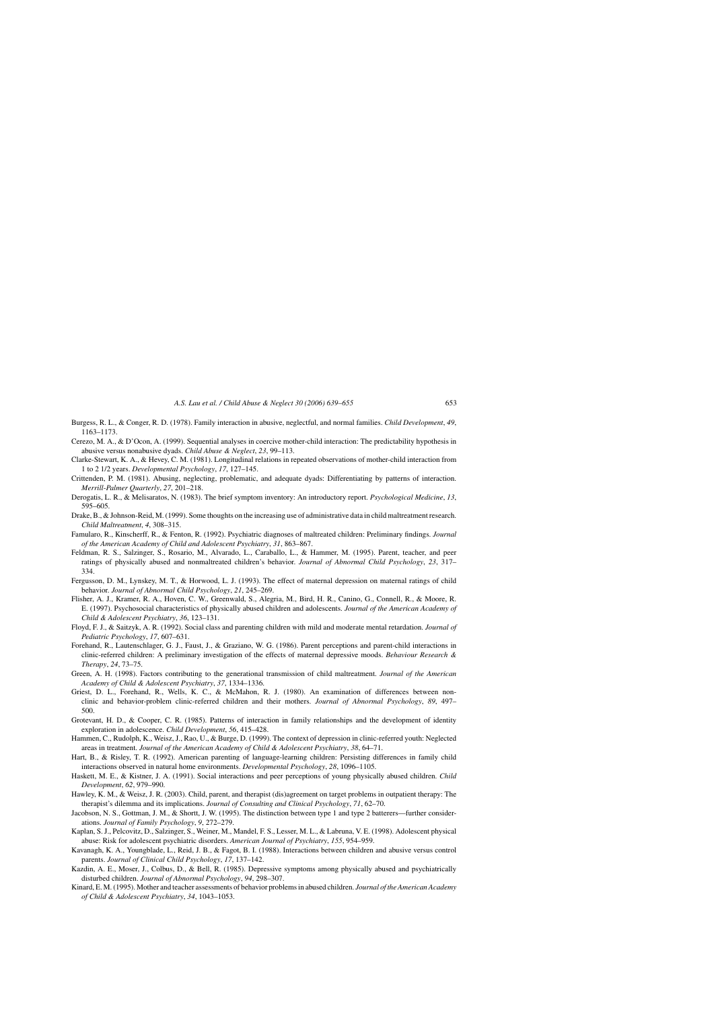- <span id="page-14-0"></span>Burgess, R. L., & Conger, R. D. (1978). Family interaction in abusive, neglectful, and normal families. *Child Development*, *49*, 1163–1173.
- Cerezo, M. A., & D'Ocon, A. (1999). Sequential analyses in coercive mother-child interaction: The predictability hypothesis in abusive versus nonabusive dyads. *Child Abuse & Neglect*, *23*, 99–113.
- Clarke-Stewart, K. A., & Hevey, C. M. (1981). Longitudinal relations in repeated observations of mother-child interaction from 1 to 2 1/2 years. *Developmental Psychology*, *17*, 127–145.
- Crittenden, P. M. (1981). Abusing, neglecting, problematic, and adequate dyads: Differentiating by patterns of interaction. *Merrill-Palmer Quarterly*, *27*, 201–218.
- Derogatis, L. R., & Melisaratos, N. (1983). The brief symptom inventory: An introductory report. *Psychological Medicine*, *13*, 595–605.
- Drake, B., & Johnson-Reid, M. (1999). Some thoughts on the increasing use of administrative data in child maltreatment research. *Child Maltreatment*, *4*, 308–315.
- Famularo, R., Kinscherff, R., & Fenton, R. (1992). Psychiatric diagnoses of maltreated children: Preliminary findings. *Journal of the American Academy of Child and Adolescent Psychiatry*, *31*, 863–867.
- Feldman, R. S., Salzinger, S., Rosario, M., Alvarado, L., Caraballo, L., & Hammer, M. (1995). Parent, teacher, and peer ratings of physically abused and nonmaltreated children's behavior. *Journal of Abnormal Child Psychology*, *23*, 317– 334.
- Fergusson, D. M., Lynskey, M. T., & Horwood, L. J. (1993). The effect of maternal depression on maternal ratings of child behavior. *Journal of Abnormal Child Psychology*, *21*, 245–269.
- Flisher, A. J., Kramer, R. A., Hoven, C. W., Greenwald, S., Alegria, M., Bird, H. R., Canino, G., Connell, R., & Moore, R. E. (1997). Psychosocial characteristics of physically abused children and adolescents. *Journal of the American Academy of Child & Adolescent Psychiatry*, *36*, 123–131.
- Floyd, F. J., & Saitzyk, A. R. (1992). Social class and parenting children with mild and moderate mental retardation. *Journal of Pediatric Psychology*, *17*, 607–631.
- Forehand, R., Lautenschlager, G. J., Faust, J., & Graziano, W. G. (1986). Parent perceptions and parent-child interactions in clinic-referred children: A preliminary investigation of the effects of maternal depressive moods. *Behaviour Research & Therapy*, *24*, 73–75.
- Green, A. H. (1998). Factors contributing to the generational transmission of child maltreatment. *Journal of the American Academy of Child & Adolescent Psychiatry*, *37*, 1334–1336.
- Griest, D. L., Forehand, R., Wells, K. C., & McMahon, R. J. (1980). An examination of differences between nonclinic and behavior-problem clinic-referred children and their mothers. *Journal of Abnormal Psychology*, *89*, 497– 500.
- Grotevant, H. D., & Cooper, C. R. (1985). Patterns of interaction in family relationships and the development of identity exploration in adolescence. *Child Development*, *56*, 415–428.
- Hammen, C., Rudolph, K., Weisz, J., Rao, U., & Burge, D. (1999). The context of depression in clinic-referred youth: Neglected areas in treatment. *Journal of the American Academy of Child & Adolescent Psychiatry*, *38*, 64–71.
- Hart, B., & Risley, T. R. (1992). American parenting of language-learning children: Persisting differences in family child interactions observed in natural home environments. *Developmental Psychology*, *28*, 1096–1105.
- Haskett, M. E., & Kistner, J. A. (1991). Social interactions and peer perceptions of young physically abused children. *Child Development*, *62*, 979–990.
- Hawley, K. M., & Weisz, J. R. (2003). Child, parent, and therapist (dis)agreement on target problems in outpatient therapy: The therapist's dilemma and its implications. *Journal of Consulting and Clinical Psychology*, *71*, 62–70.
- Jacobson, N. S., Gottman, J. M., & Shortt, J. W. (1995). The distinction between type 1 and type 2 batterers—further considerations. *Journal of Family Psychology*, *9*, 272–279.
- Kaplan, S. J., Pelcovitz, D., Salzinger, S., Weiner, M., Mandel, F. S., Lesser, M. L., & Labruna, V. E. (1998). Adolescent physical abuse: Risk for adolescent psychiatric disorders. *American Journal of Psychiatry*, *155*, 954–959.
- Kavanagh, K. A., Youngblade, L., Reid, J. B., & Fagot, B. I. (1988). Interactions between children and abusive versus control parents. *Journal of Clinical Child Psychology*, *17*, 137–142.
- Kazdin, A. E., Moser, J., Colbus, D., & Bell, R. (1985). Depressive symptoms among physically abused and psychiatrically disturbed children. *Journal of Abnormal Psychology*, *94*, 298–307.
- Kinard, E. M. (1995). Mother and teacher assessments of behavior problems in abused children. *Journal of the American Academy of Child & Adolescent Psychiatry*, *34*, 1043–1053.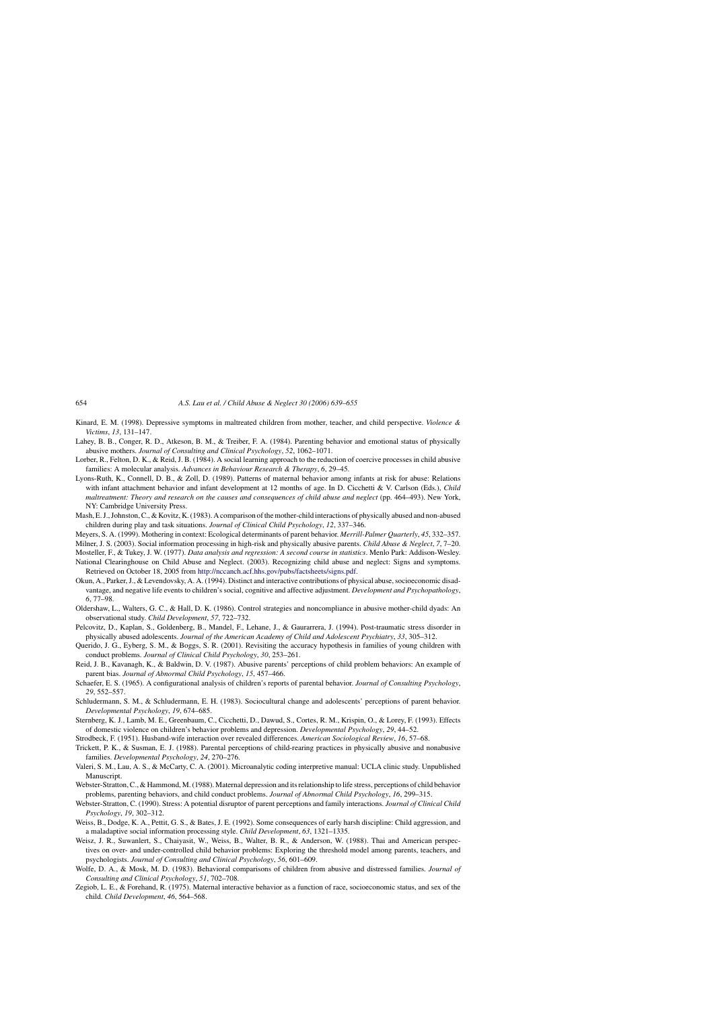- <span id="page-15-0"></span>Kinard, E. M. (1998). Depressive symptoms in maltreated children from mother, teacher, and child perspective. *Violence & Victims*, *13*, 131–147.
- Lahey, B. B., Conger, R. D., Atkeson, B. M., & Treiber, F. A. (1984). Parenting behavior and emotional status of physically abusive mothers. *Journal of Consulting and Clinical Psychology*, *52*, 1062–1071.
- Lorber, R., Felton, D. K., & Reid, J. B. (1984). A social learning approach to the reduction of coercive processes in child abusive families: A molecular analysis. *Advances in Behaviour Research & Therapy*, *6*, 29–45.
- Lyons-Ruth, K., Connell, D. B., & Zoll, D. (1989). Patterns of maternal behavior among infants at risk for abuse: Relations with infant attachment behavior and infant development at 12 months of age. In D. Cicchetti & V. Carlson (Eds.), *Child maltreatment: Theory and research on the causes and consequences of child abuse and neglect* (pp. 464–493). New York, NY: Cambridge University Press.
- Mash, E. J., Johnston, C., & Kovitz, K. (1983). A comparison of the mother-child interactions of physically abused and non-abused children during play and task situations. *Journal of Clinical Child Psychology*, *12*, 337–346.
- Meyers, S. A. (1999). Mothering in context: Ecological determinants of parent behavior. *Merrill-Palmer Quarterly*, *45*, 332–357.
- Milner, J. S. (2003). Social information processing in high-risk and physically abusive parents. *Child Abuse & Neglect*, *7*, 7–20.
- Mosteller, F., & Tukey, J. W. (1977). *Data analysis and regression: A second course in statistics*. Menlo Park: Addison-Wesley.
- National Clearinghouse on Child Abuse and Neglect. (2003). Recognizing child abuse and neglect: Signs and symptoms. Retrieved on October 18, 2005 from <http://nccanch.acf.hhs.gov/pubs/factsheets/signs.pdf>.
- Okun, A., Parker, J., & Levendovsky, A. A. (1994). Distinct and interactive contributions of physical abuse, socioeconomic disadvantage, and negative life events to children's social, cognitive and affective adjustment. *Development and Psychopathology*, *6*, 77–98.
- Oldershaw, L., Walters, G. C., & Hall, D. K. (1986). Control strategies and noncompliance in abusive mother-child dyads: An observational study. *Child Development*, *57*, 722–732.
- Pelcovitz, D., Kaplan, S., Goldenberg, B., Mandel, F., Lehane, J., & Gaurarrera, J. (1994). Post-traumatic stress disorder in physically abused adolescents. *Journal of the American Academy of Child and Adolescent Psychiatry*, *33*, 305–312.
- Querido, J. G., Eyberg, S. M., & Boggs, S. R. (2001). Revisiting the accuracy hypothesis in families of young children with conduct problems. *Journal of Clinical Child Psychology*, *30*, 253–261.
- Reid, J. B., Kavanagh, K., & Baldwin, D. V. (1987). Abusive parents' perceptions of child problem behaviors: An example of parent bias. *Journal of Abnormal Child Psychology*, *15*, 457–466.
- Schaefer, E. S. (1965). A configurational analysis of children's reports of parental behavior. *Journal of Consulting Psychology*, *29*, 552–557.
- Schludermann, S. M., & Schludermann, E. H. (1983). Sociocultural change and adolescents' perceptions of parent behavior. *Developmental Psychology*, *19*, 674–685.
- Sternberg, K. J., Lamb, M. E., Greenbaum, C., Cicchetti, D., Dawud, S., Cortes, R. M., Krispin, O., & Lorey, F. (1993). Effects of domestic violence on children's behavior problems and depression. *Developmental Psychology*, *29*, 44–52.
- Strodbeck, F. (1951). Husband-wife interaction over revealed differences. *American Sociological Review*, *16*, 57–68.
- Trickett, P. K., & Susman, E. J. (1988). Parental perceptions of child-rearing practices in physically abusive and nonabusive families. *Developmental Psychology*, *24*, 270–276.
- Valeri, S. M., Lau, A. S., & McCarty, C. A. (2001). Microanalytic coding interpretive manual: UCLA clinic study. Unpublished Manuscript.
- Webster-Stratton, C., & Hammond, M. (1988). Maternal depression and its relationship to life stress, perceptions of child behavior problems, parenting behaviors, and child conduct problems. *Journal of Abnormal Child Psychology*, *16*, 299–315.
- Webster-Stratton, C. (1990). Stress: A potential disruptor of parent perceptions and family interactions. *Journal of Clinical Child Psychology*, *19*, 302–312.
- Weiss, B., Dodge, K. A., Pettit, G. S., & Bates, J. E. (1992). Some consequences of early harsh discipline: Child aggression, and a maladaptive social information processing style. *Child Development*, *63*, 1321–1335.
- Weisz, J. R., Suwanlert, S., Chaiyasit, W., Weiss, B., Walter, B. R., & Anderson, W. (1988). Thai and American perspectives on over- and under-controlled child behavior problems: Exploring the threshold model among parents, teachers, and psychologists. *Journal of Consulting and Clinical Psychology*, *56*, 601–609.
- Wolfe, D. A., & Mosk, M. D. (1983). Behavioral comparisons of children from abusive and distressed families. *Journal of Consulting and Clinical Psychology*, *51*, 702–708.
- Zegiob, L. E., & Forehand, R. (1975). Maternal interactive behavior as a function of race, socioeconomic status, and sex of the child. *Child Development*, *46*, 564–568.